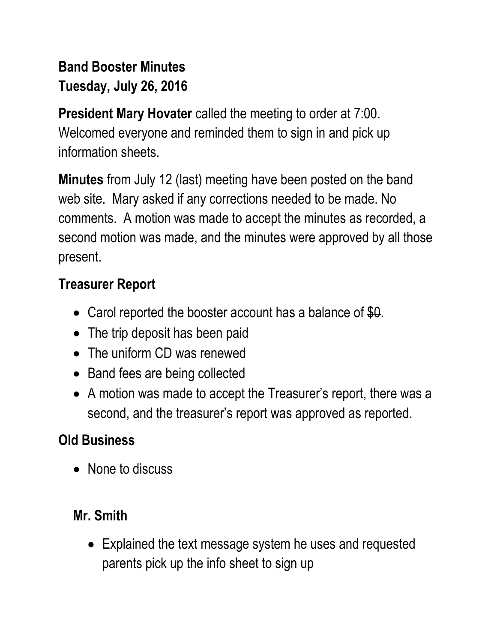# **Band Booster Minutes Tuesday, July 26, 2016**

**President Mary Hovater** called the meeting to order at 7:00. Welcomed everyone and reminded them to sign in and pick up information sheets.

**Minutes** from July 12 (last) meeting have been posted on the band web site. Mary asked if any corrections needed to be made. No comments. A motion was made to accept the minutes as recorded, a second motion was made, and the minutes were approved by all those present.

## **Treasurer Report**

- Carol reported the booster account has a balance of  $$0.$
- The trip deposit has been paid
- The uniform CD was renewed
- Band fees are being collected
- A motion was made to accept the Treasurer's report, there was a second, and the treasurer's report was approved as reported.

## **Old Business**

• None to discuss

#### **Mr. Smith**

• Explained the text message system he uses and requested parents pick up the info sheet to sign up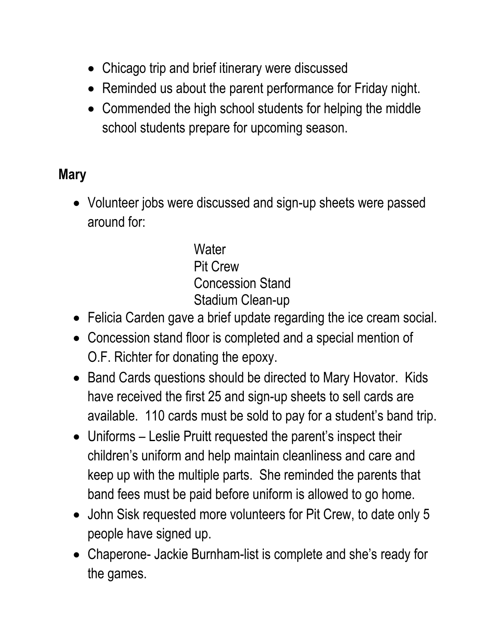- Chicago trip and brief itinerary were discussed
- Reminded us about the parent performance for Friday night.
- Commended the high school students for helping the middle school students prepare for upcoming season.

## **Mary**

 Volunteer jobs were discussed and sign-up sheets were passed around for:

> **Water** Pit Crew Concession Stand Stadium Clean-up

- Felicia Carden gave a brief update regarding the ice cream social.
- Concession stand floor is completed and a special mention of O.F. Richter for donating the epoxy.
- Band Cards questions should be directed to Mary Hovator. Kids have received the first 25 and sign-up sheets to sell cards are available. 110 cards must be sold to pay for a student's band trip.
- Uniforms Leslie Pruitt requested the parent's inspect their children's uniform and help maintain cleanliness and care and keep up with the multiple parts. She reminded the parents that band fees must be paid before uniform is allowed to go home.
- John Sisk requested more volunteers for Pit Crew, to date only 5 people have signed up.
- Chaperone- Jackie Burnham-list is complete and she's ready for the games.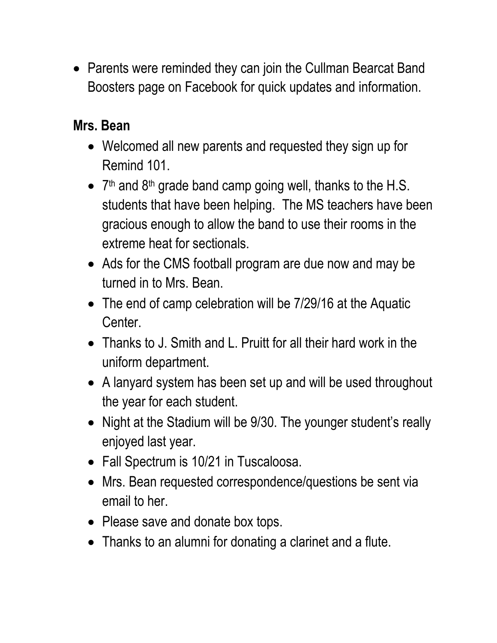• Parents were reminded they can join the Cullman Bearcat Band Boosters page on Facebook for quick updates and information.

### **Mrs. Bean**

- Welcomed all new parents and requested they sign up for Remind 101.
- 7<sup>th</sup> and 8<sup>th</sup> grade band camp going well, thanks to the H.S. students that have been helping. The MS teachers have been gracious enough to allow the band to use their rooms in the extreme heat for sectionals.
- Ads for the CMS football program are due now and may be turned in to Mrs. Bean.
- The end of camp celebration will be 7/29/16 at the Aquatic Center.
- Thanks to J. Smith and L. Pruitt for all their hard work in the uniform department.
- A lanyard system has been set up and will be used throughout the year for each student.
- Night at the Stadium will be 9/30. The younger student's really enjoyed last year.
- Fall Spectrum is 10/21 in Tuscaloosa.
- Mrs. Bean requested correspondence/questions be sent via email to her.
- Please save and donate box tops.
- Thanks to an alumni for donating a clarinet and a flute.